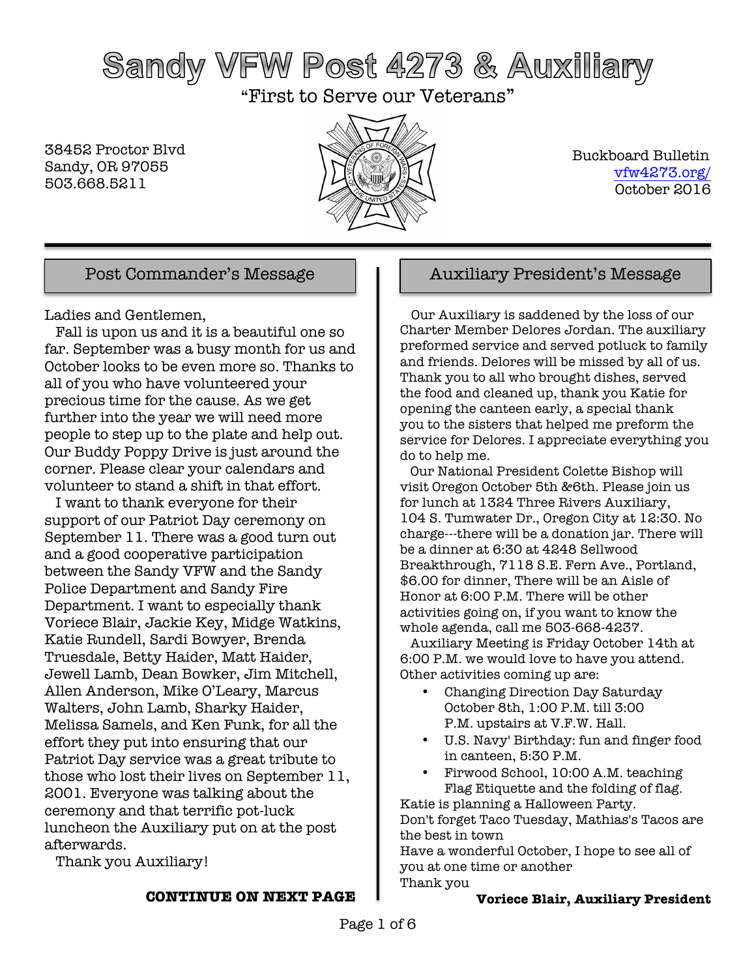# Sandy VFW Post 4273 & Auxiliary

"First to Serve our Veterans"

38452 Proctor Blvd Sandy, OR 97055 503.668.5211



 Buckboard Bulletin vfw4273.org/ October 2016

Ladies and Gentlemen,

 Fall is upon us and it is a beautiful one so far. September was a busy month for us and October looks to be even more so. Thanks to all of you who have volunteered your precious time for the cause. As we get further into the year we will need more people to step up to the plate and help out. Our Buddy Poppy Drive is just around the corner. Please clear your calendars and volunteer to stand a shift in that effort.

 I want to thank everyone for their support of our Patriot Day ceremony on September 11. There was a good turn out and a good cooperative participation between the Sandy VFW and the Sandy Police Department and Sandy Fire Department. I want to especially thank Voriece Blair, Jackie Key, Midge Watkins, Katie Rundell, Sardi Bowyer, Brenda Truesdale, Betty Haider, Matt Haider, Jewell Lamb, Dean Bowker, Jim Mitchell, Allen Anderson, Mike O'Leary, Marcus Walters, John Lamb, Sharky Haider, Melissa Samels, and Ken Funk, for all the effort they put into ensuring that our Patriot Day service was a great tribute to those who lost their lives on September 11, 2001. Everyone was talking about the ceremony and that terrific pot-luck luncheon the Auxiliary put on at the post afterwards.

Thank you Auxiliary!

### **CONTINUE ON NEXT PAGE**

## Post Commander's Message  $\parallel$  | Auxiliary President's Message

 Our Auxiliary is saddened by the loss of our Charter Member Delores Jordan. The auxiliary preformed service and served potluck to family and friends. Delores will be missed by all of us. Thank you to all who brought dishes, served the food and cleaned up, thank you Katie for opening the canteen early, a special thank you to the sisters that helped me preform the service for Delores. I appreciate everything you do to help me.

 Our National President Colette Bishop will visit Oregon October 5th &6th. Please join us for lunch at 1324 Three Rivers Auxiliary, 104 S. Tumwater Dr., Oregon City at 12:30. No charge---there will be a donation jar. There will be a dinner at 6:30 at 4248 Sellwood Breakthrough, 7118 S.E. Fern Ave., Portland, \$6.00 for dinner, There will be an Aisle of Honor at 6:00 P.M. There will be other activities going on, if you want to know the whole agenda, call me 503-668-4237.

 Auxiliary Meeting is Friday October 14th at 6:00 P.M. we would love to have you attend. Other activities coming up are:

- Changing Direction Day Saturday October 8th, 1:00 P.M. till 3:00 P.M. upstairs at V.F.W. Hall.
- U.S. Navy' Birthday: fun and finger food in canteen, 5:30 P.M.
- Firwood School, 10:00 A.M. teaching Flag Etiquette and the folding of flag.

Katie is planning a Halloween Party. Don't forget Taco Tuesday, Mathias's Tacos are the best in town

Have a wonderful October, I hope to see all of you at one time or another Thank you

## **Voriece Blair, Auxiliary President**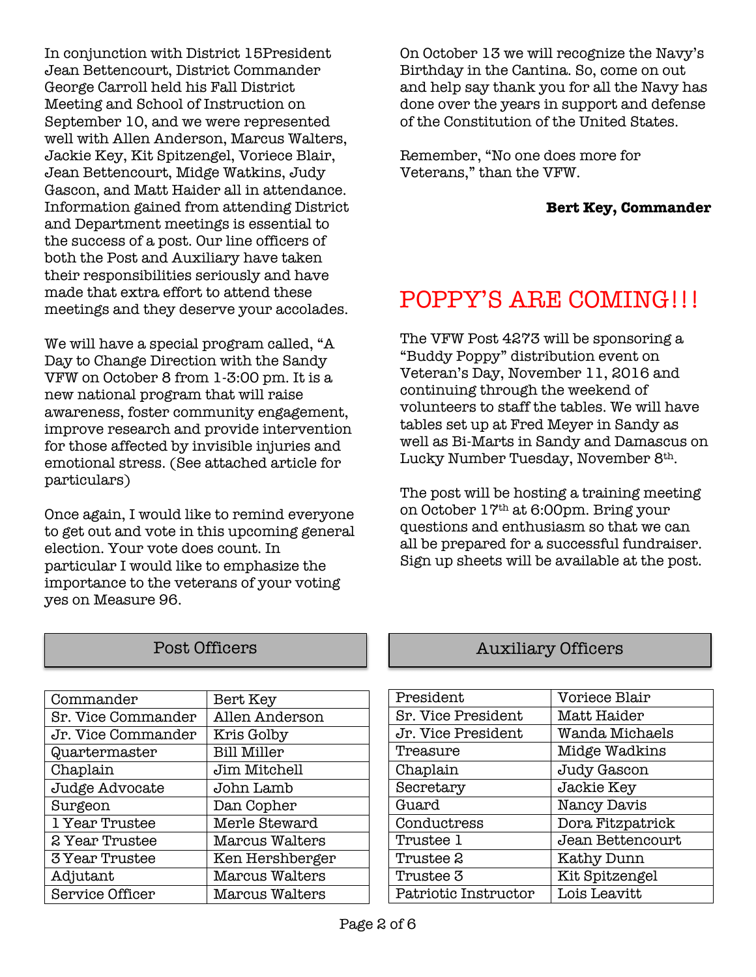In conjunction with District 15President Jean Bettencourt, District Commander George Carroll held his Fall District Meeting and School of Instruction on September 10, and we were represented well with Allen Anderson, Marcus Walters, Jackie Key, Kit Spitzengel, Voriece Blair, Jean Bettencourt, Midge Watkins, Judy Gascon, and Matt Haider all in attendance. Information gained from attending District and Department meetings is essential to the success of a post. Our line officers of both the Post and Auxiliary have taken their responsibilities seriously and have made that extra effort to attend these meetings and they deserve your accolades.

We will have a special program called, "A Day to Change Direction with the Sandy VFW on October 8 from 1-3:00 pm. It is a new national program that will raise awareness, foster community engagement, improve research and provide intervention for those affected by invisible injuries and emotional stress. (See attached article for particulars)

Once again, I would like to remind everyone to get out and vote in this upcoming general election. Your vote does count. In particular I would like to emphasize the importance to the veterans of your voting yes on Measure 96.

| Commander              | Bert Key           |
|------------------------|--------------------|
| Sr. Vice Commander     | Allen Anderson     |
| Jr. Vice Commander     | Kris Golby         |
| Quartermaster          | <b>Bill Miller</b> |
| Chaplain               | Jim Mitchell       |
| Judge Advocate         | John Lamb          |
| Surgeon                | Dan Copher         |
| 1 Year Trustee         | Merle Steward      |
| 2 Year Trustee         | Marcus Walters     |
| <b>3 Year Trustee</b>  | Ken Hershberger    |
| Adjutant               | Marcus Walters     |
| <b>Service Officer</b> | Marcus Walters     |

On October 13 we will recognize the Navy's Birthday in the Cantina. So, come on out and help say thank you for all the Navy has done over the years in support and defense of the Constitution of the United States.

Remember, "No one does more for Veterans," than the VFW.

## **Bert Key, Commander**

## POPPY'S ARE COMING!!!

The VFW Post 4273 will be sponsoring a "Buddy Poppy" distribution event on Veteran's Day, November 11, 2016 and continuing through the weekend of volunteers to staff the tables. We will have tables set up at Fred Meyer in Sandy as well as Bi-Marts in Sandy and Damascus on Lucky Number Tuesday, November 8th.

The post will be hosting a training meeting on October 17th at 6:00pm. Bring your questions and enthusiasm so that we can all be prepared for a successful fundraiser. Sign up sheets will be available at the post.

## Post Officers **Auxiliary Officers**

| President                 | Voriece Blair     |
|---------------------------|-------------------|
| <b>Sr. Vice President</b> | Matt Haider       |
| Jr. Vice President        | Wanda Michaels    |
| Treasure                  | Midge Wadkins     |
| Chaplain                  | Judy Gascon       |
| Secretary                 | Jackie Key        |
| Guard                     | Nancy Davis       |
| Conductress               | Dora Fitzpatrick  |
| Trustee 1                 | Jean Bettencourt  |
| Trustee 2                 | <b>Kathy Dunn</b> |
| Trustee 3                 | Kit Spitzengel    |
| Patriotic Instructor      | Lois Leavitt      |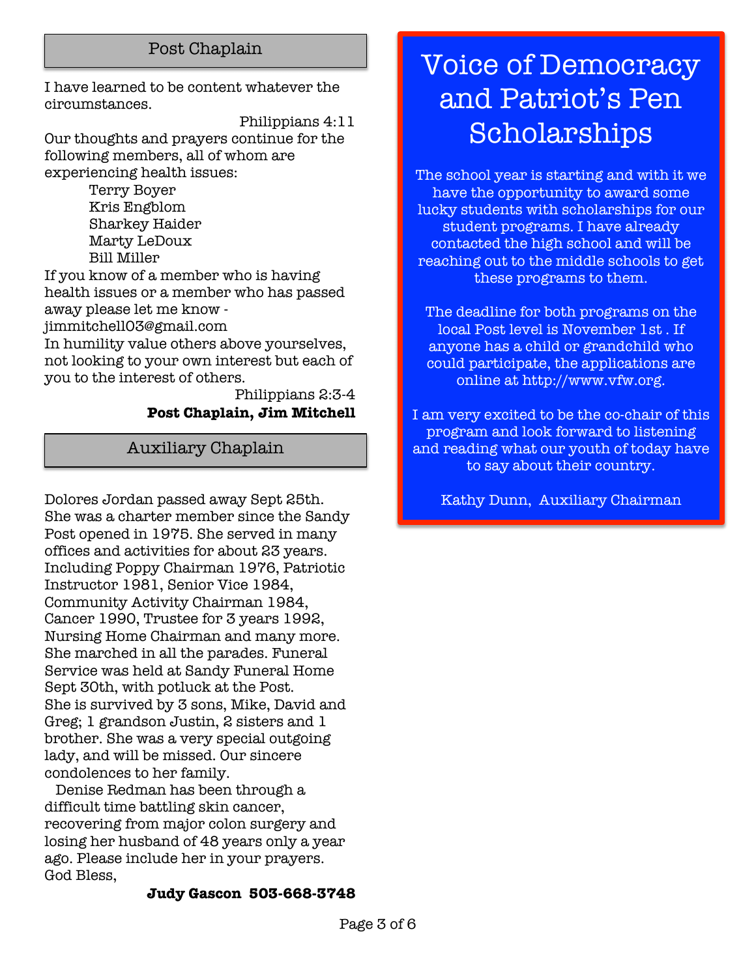## Post Chaplain

I have learned to be content whatever the circumstances.

Philippians 4:11 Our thoughts and prayers continue for the following members, all of whom are experiencing health issues:

> Terry Boyer Kris Engblom Sharkey Haider Marty LeDoux Bill Miller

If you know of a member who is having health issues or a member who has passed away please let me know -

jimmitchell03@gmail.com

In humility value others above yourselves, not looking to your own interest but each of you to the interest of others.

### Philippians 2:3-4 **Post Chaplain, Jim Mitchell**

Auxiliary Chaplain

Dolores Jordan passed away Sept 25th. She was a charter member since the Sandy Post opened in 1975. She served in many offices and activities for about 23 years. Including Poppy Chairman 1976, Patriotic Instructor 1981, Senior Vice 1984, Community Activity Chairman 1984, Cancer 1990, Trustee for 3 years 1992, Nursing Home Chairman and many more. She marched in all the parades. Funeral Service was held at Sandy Funeral Home Sept 30th, with potluck at the Post. She is survived by 3 sons, Mike, David and Greg; 1 grandson Justin, 2 sisters and 1 brother. She was a very special outgoing lady, and will be missed. Our sincere condolences to her family.

 Denise Redman has been through a difficult time battling skin cancer, recovering from major colon surgery and losing her husband of 48 years only a year ago. Please include her in your prayers. God Bless,

## **Judy Gascon 503-668-3748**

# Voice of Democracy and Patriot's Pen Scholarships

The school year is starting and with it we have the opportunity to award some lucky students with scholarships for our student programs. I have already contacted the high school and will be reaching out to the middle schools to get these programs to them.

The deadline for both programs on the local Post level is November 1st . If anyone has a child or grandchild who could participate, the applications are online at http://www.vfw.org.

I am very excited to be the co-chair of this program and look forward to listening and reading what our youth of today have to say about their country.

Kathy Dunn, Auxiliary Chairman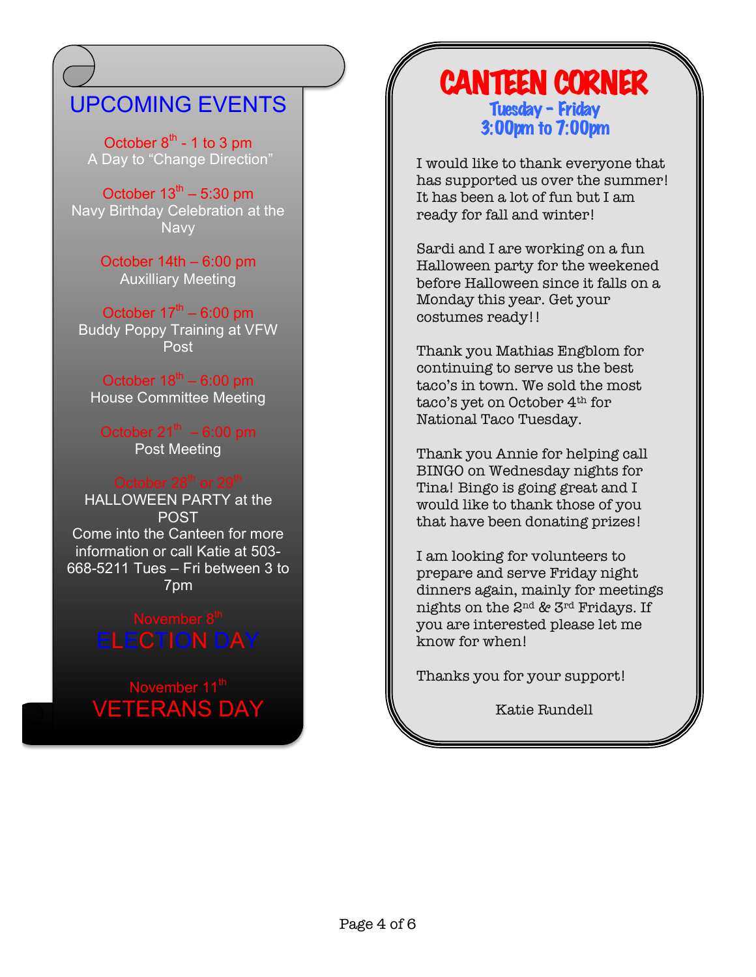## UPCOMING EVENTS

October  $8<sup>th</sup>$  - 1 to 3 pm A Day to "Change Direction"

October  $13^{th}$  – 5:30 pm Navy Birthday Celebration at the **Navy** 

> October 14th – 6:00 pm Auxilliary Meeting

October  $17<sup>th</sup> - 6:00$  pm Buddy Poppy Training at VFW Post

October  $18^{th}$  – 6:00 pm House Committee Meeting

October  $21^{th} - 6:00$  pm Post Meeting

HALLOWEEN PARTY at the POST Come into the Canteen for more information or call Katie at 503- 668-5211 Tues – Fri between 3 to 7pm

November 11<sup>th</sup> VETERANS DAY

## CANTEEN CORNER Tuesday – Friday 3:00pm to 7:00pm

I would like to thank everyone that has supported us over the summer! It has been a lot of fun but I am ready for fall and winter!

Sardi and I are working on a fun Halloween party for the weekened before Halloween since it falls on a Monday this year. Get your costumes ready!!

Thank you Mathias Engblom for continuing to serve us the best taco's in town. We sold the most taco's yet on October 4th for National Taco Tuesday.

Thank you Annie for helping call BINGO on Wednesday nights for Tina! Bingo is going great and I would like to thank those of you that have been donating prizes!

I am looking for volunteers to prepare and serve Friday night dinners again, mainly for meetings nights on the 2nd & 3rd Fridays. If you are interested please let me know for when!

Thanks you for your support!

Katie Rundell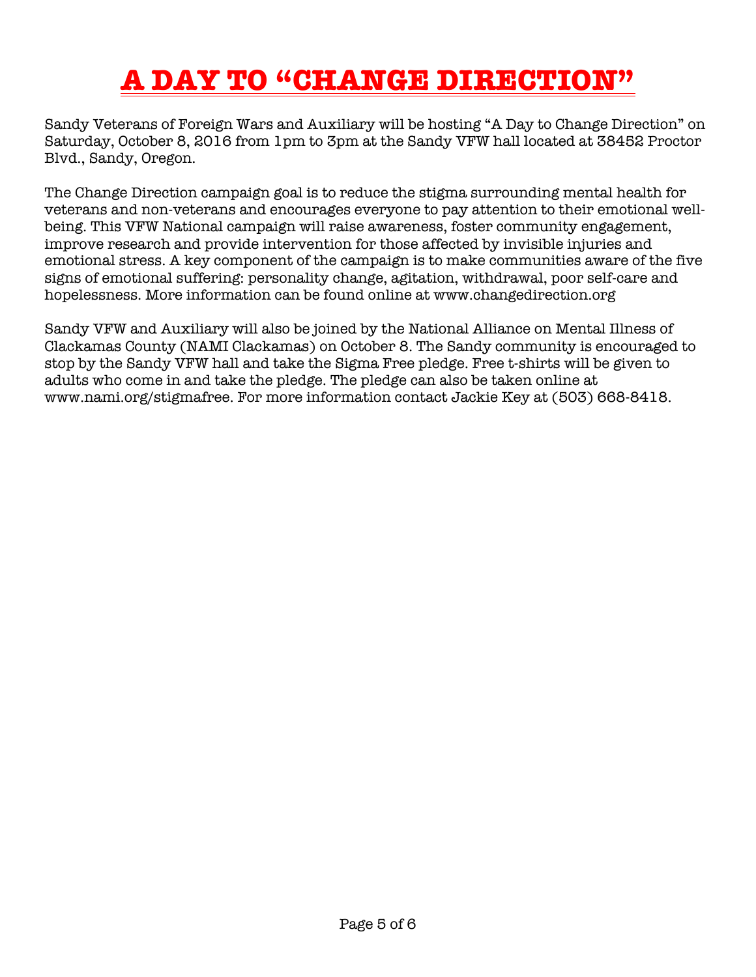# **A DAY TO "CHANGE DIRECTION"**

Sandy Veterans of Foreign Wars and Auxiliary will be hosting "A Day to Change Direction" on Saturday, October 8, 2016 from 1pm to 3pm at the Sandy VFW hall located at 38452 Proctor Blvd., Sandy, Oregon.

The Change Direction campaign goal is to reduce the stigma surrounding mental health for veterans and non-veterans and encourages everyone to pay attention to their emotional wellbeing. This VFW National campaign will raise awareness, foster community engagement, improve research and provide intervention for those affected by invisible injuries and emotional stress. A key component of the campaign is to make communities aware of the five signs of emotional suffering: personality change, agitation, withdrawal, poor self-care and hopelessness. More information can be found online at www.changedirection.org

Sandy VFW and Auxiliary will also be joined by the National Alliance on Mental Illness of Clackamas County (NAMI Clackamas) on October 8. The Sandy community is encouraged to stop by the Sandy VFW hall and take the Sigma Free pledge. Free t-shirts will be given to adults who come in and take the pledge. The pledge can also be taken online at www.nami.org/stigmafree. For more information contact Jackie Key at (503) 668-8418.